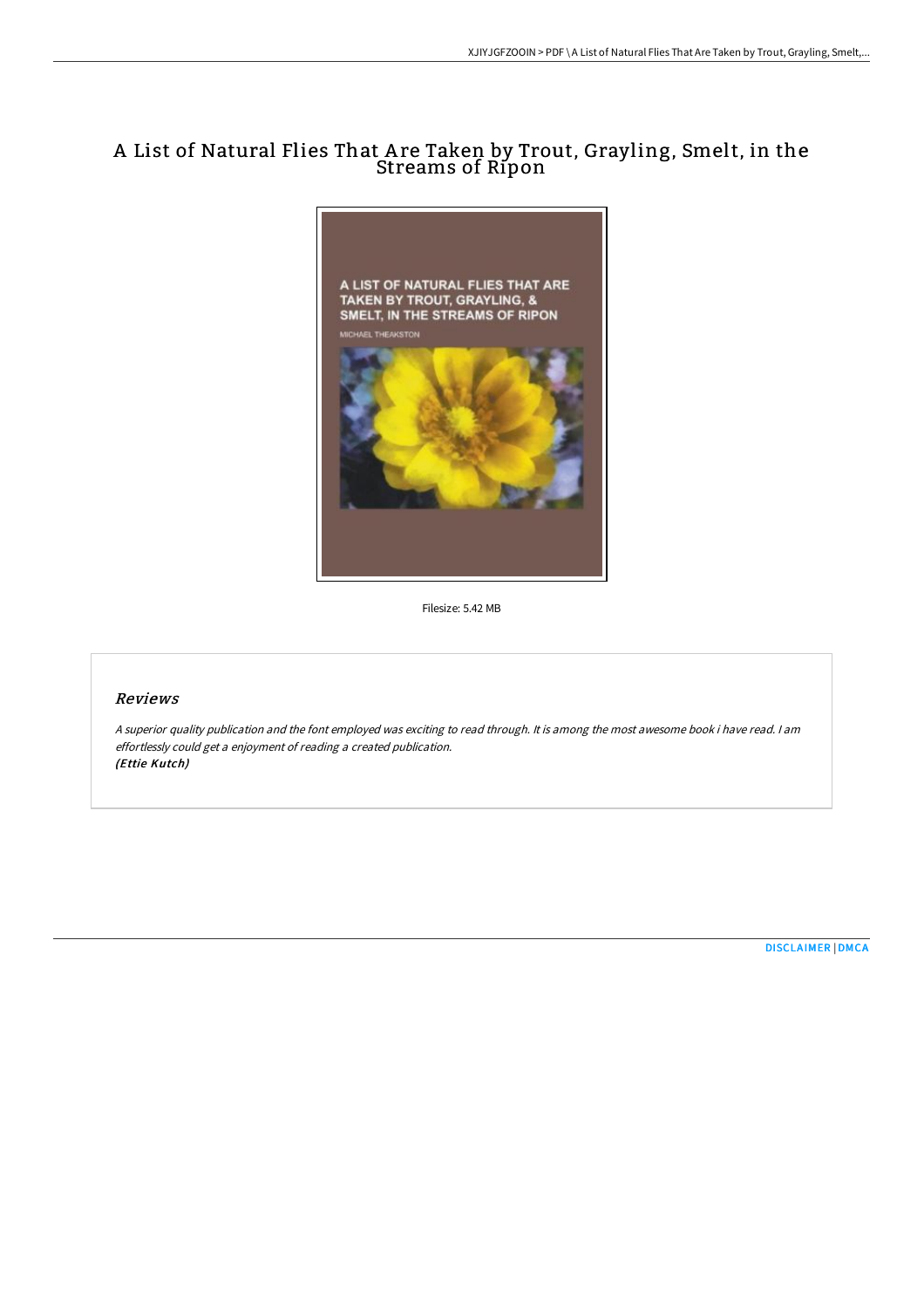# A List of Natural Flies That A re Taken by Trout, Grayling, Smelt, in the Streams of Ripon



Filesize: 5.42 MB

### Reviews

<sup>A</sup> superior quality publication and the font employed was exciting to read through. It is among the most awesome book i have read. <sup>I</sup> am effortlessly could get <sup>a</sup> enjoyment of reading <sup>a</sup> created publication. (Ettie Kutch)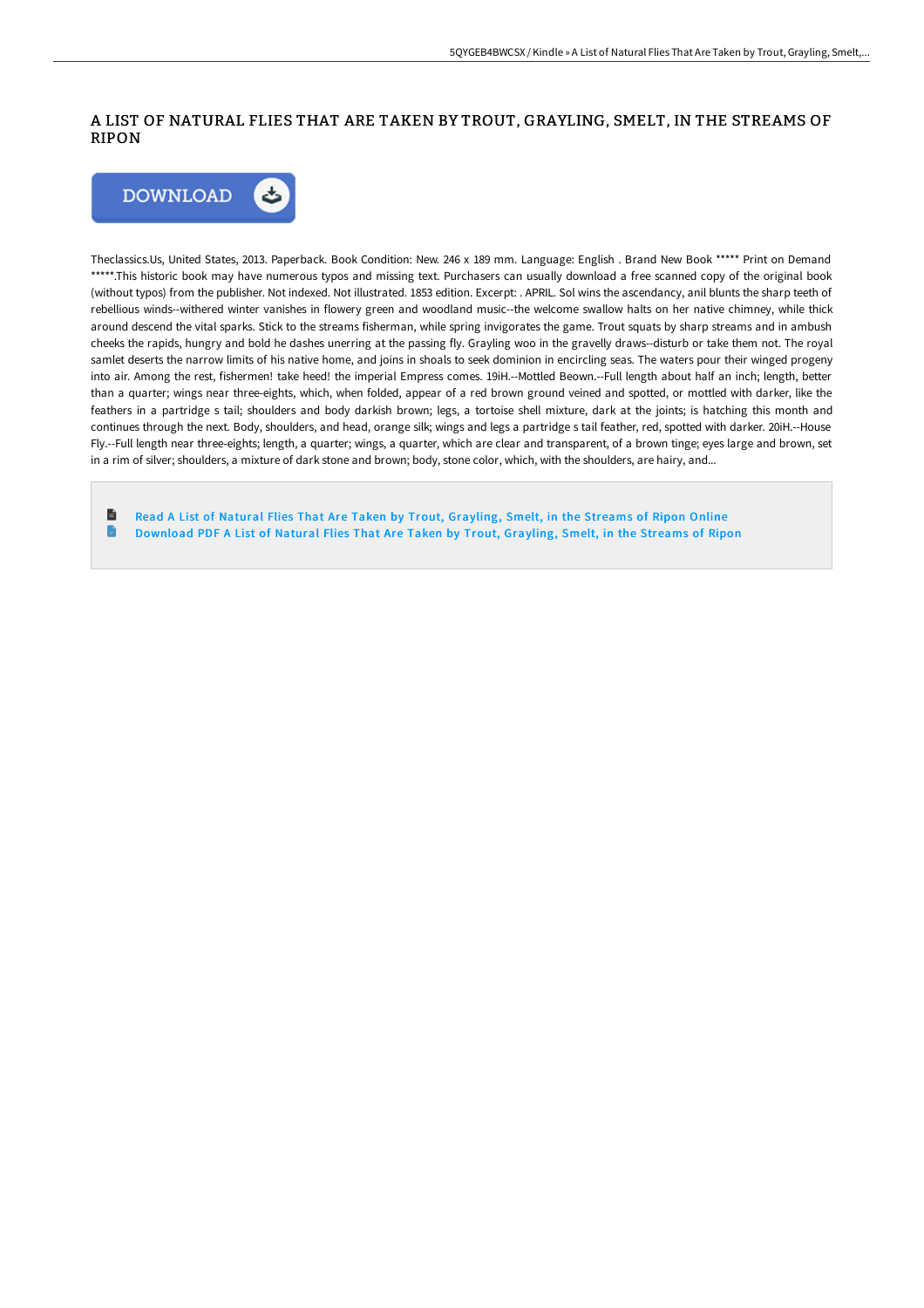## A LIST OF NATURAL FLIES THAT ARE TAKEN BY TROUT, GRAYLING, SMELT, IN THE STREAMS OF RIPON



Theclassics.Us, United States, 2013. Paperback. Book Condition: New. 246 x 189 mm. Language: English . Brand New Book \*\*\*\*\* Print on Demand \*\*\*\*\*.This historic book may have numerous typos and missing text. Purchasers can usually download a free scanned copy of the original book (without typos) from the publisher. Not indexed. Not illustrated. 1853 edition. Excerpt: . APRIL. Sol wins the ascendancy, anil blunts the sharp teeth of rebellious winds--withered winter vanishes in flowery green and woodland music--the welcome swallow halts on her native chimney, while thick around descend the vital sparks. Stick to the streams fisherman, while spring invigorates the game. Trout squats by sharp streams and in ambush cheeks the rapids, hungry and bold he dashes unerring at the passing fly. Grayling woo in the gravelly draws--disturb or take them not. The royal samlet deserts the narrow limits of his native home, and joins in shoals to seek dominion in encircling seas. The waters pour their winged progeny into air. Among the rest, fishermen! take heed! the imperial Empress comes. 19iH.--Mottled Beown.--Full length about half an inch; length, better than a quarter; wings near three-eights, which, when folded, appear of a red brown ground veined and spotted, or mottled with darker, like the feathers in a partridge s tail; shoulders and body darkish brown; legs, a tortoise shell mixture, dark at the joints; is hatching this month and continues through the next. Body, shoulders, and head, orange silk; wings and legs a partridge s tail feather, red, spotted with darker. 20iH.--House Fly.--Full length near three-eights; length, a quarter; wings, a quarter, which are clear and transparent, of a brown tinge; eyes large and brown, set in a rim of silver; shoulders, a mixture of dark stone and brown; body, stone color, which, with the shoulders, are hairy, and...

h Read A List of Natural Flies That Are Taken by Trout, [Grayling,](http://techno-pub.tech/a-list-of-natural-flies-that-are-taken-by-trout-.html) Smelt, in the Streams of Ripon Online n [Download](http://techno-pub.tech/a-list-of-natural-flies-that-are-taken-by-trout-.html) PDF A List of Natural Flies That Are Taken by Trout, Grayling, Smelt, in the Streams of Ripon